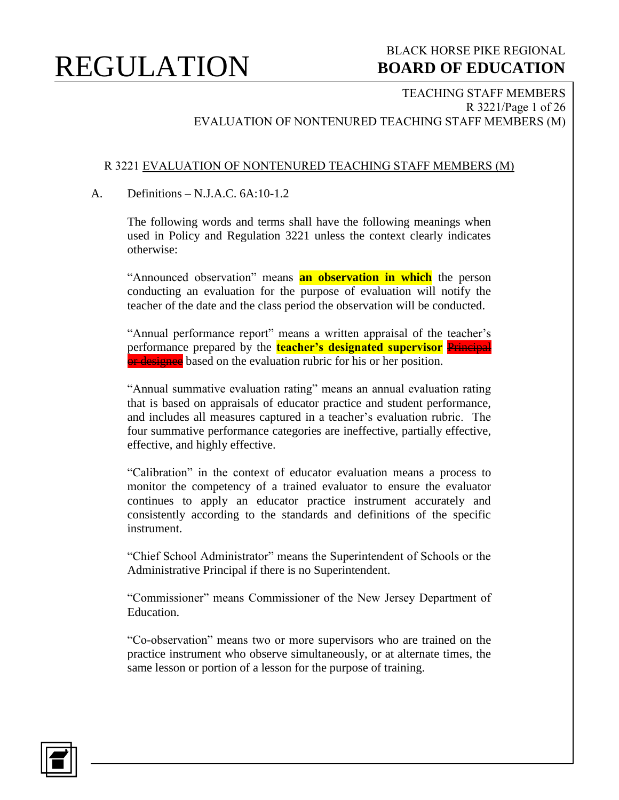### BLACK HORSE PIKE REGIONAL  **BOARD OF EDUCATION**

TEACHING STAFF MEMBERS R 3221/Page 1 of 26 EVALUATION OF NONTENURED TEACHING STAFF MEMBERS (M)

#### R 3221 EVALUATION OF NONTENURED TEACHING STAFF MEMBERS (M)

#### A. Definitions – N.J.A.C. 6A:10-1.2

The following words and terms shall have the following meanings when used in Policy and Regulation 3221 unless the context clearly indicates otherwise:

"Announced observation" means **an observation in which** the person conducting an evaluation for the purpose of evaluation will notify the teacher of the date and the class period the observation will be conducted.

"Annual performance report" means a written appraisal of the teacher's performance prepared by the **teacher's designated supervisor** Principal or designee based on the evaluation rubric for his or her position.

"Annual summative evaluation rating" means an annual evaluation rating that is based on appraisals of educator practice and student performance, and includes all measures captured in a teacher's evaluation rubric. The four summative performance categories are ineffective, partially effective, effective, and highly effective.

"Calibration" in the context of educator evaluation means a process to monitor the competency of a trained evaluator to ensure the evaluator continues to apply an educator practice instrument accurately and consistently according to the standards and definitions of the specific instrument.

"Chief School Administrator" means the Superintendent of Schools or the Administrative Principal if there is no Superintendent.

"Commissioner" means Commissioner of the New Jersey Department of Education.

"Co-observation" means two or more supervisors who are trained on the practice instrument who observe simultaneously, or at alternate times, the same lesson or portion of a lesson for the purpose of training.

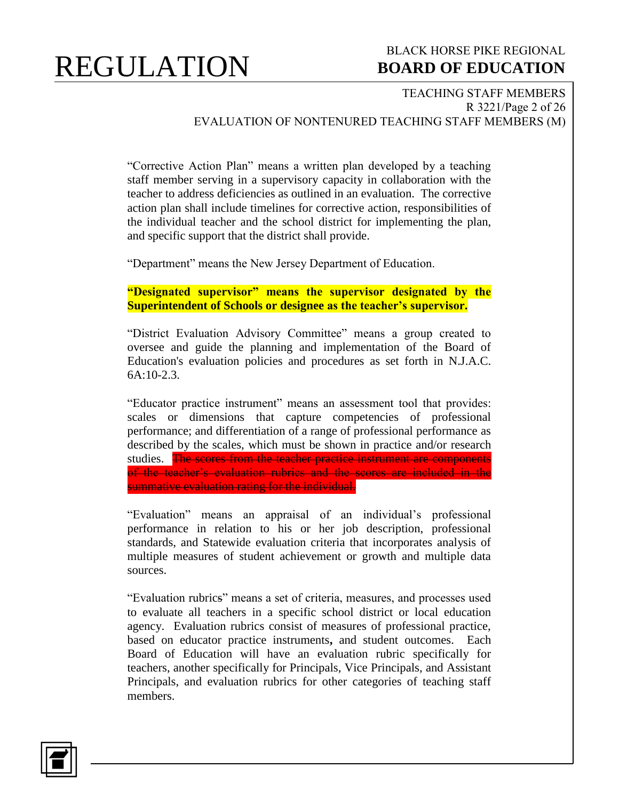### BLACK HORSE PIKE REGIONAL  **BOARD OF EDUCATION**

#### TEACHING STAFF MEMBERS R 3221/Page 2 of 26 EVALUATION OF NONTENURED TEACHING STAFF MEMBERS (M)

"Corrective Action Plan" means a written plan developed by a teaching staff member serving in a supervisory capacity in collaboration with the teacher to address deficiencies as outlined in an evaluation. The corrective action plan shall include timelines for corrective action, responsibilities of the individual teacher and the school district for implementing the plan, and specific support that the district shall provide.

"Department" means the New Jersey Department of Education.

**"Designated supervisor" means the supervisor designated by the Superintendent of Schools or designee as the teacher's supervisor.**

"District Evaluation Advisory Committee" means a group created to oversee and guide the planning and implementation of the Board of Education's evaluation policies and procedures as set forth in N.J.A.C. 6A:10-2.3.

"Educator practice instrument" means an assessment tool that provides: scales or dimensions that capture competencies of professional performance; and differentiation of a range of professional performance as described by the scales, which must be shown in practice and/or research studies. The scores from the teacher practice instrument are components of the teacher's evaluation rubrics and the scores are included in the summative evaluation rating for the individual.

"Evaluation" means an appraisal of an individual's professional performance in relation to his or her job description, professional standards, and Statewide evaluation criteria that incorporates analysis of multiple measures of student achievement or growth and multiple data sources.

"Evaluation rubrics" means a set of criteria, measures, and processes used to evaluate all teachers in a specific school district or local education agency. Evaluation rubrics consist of measures of professional practice, based on educator practice instruments**,** and student outcomes. Each Board of Education will have an evaluation rubric specifically for teachers, another specifically for Principals, Vice Principals, and Assistant Principals, and evaluation rubrics for other categories of teaching staff members.

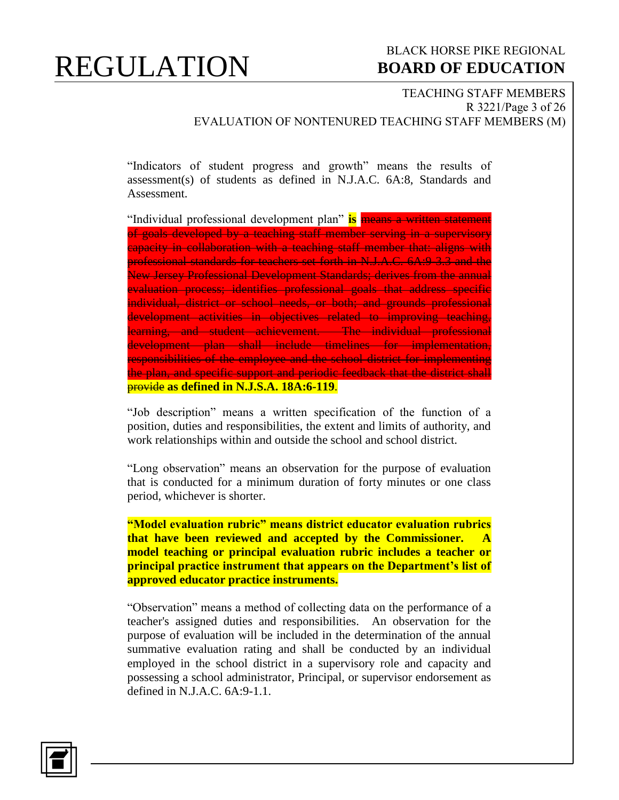### BLACK HORSE PIKE REGIONAL  **BOARD OF EDUCATION**

TEACHING STAFF MEMBERS R 3221/Page 3 of 26 EVALUATION OF NONTENURED TEACHING STAFF MEMBERS (M)

"Indicators of student progress and growth" means the results of assessment(s) of students as defined in N.J.A.C. 6A:8, Standards and Assessment.

"Individual professional development plan" **is** means a written statement of goals developed by a teaching staff member serving in a supervisory capacity in collaboration with a teaching staff member that: aligns with professional standards for teachers set forth in N.J.A.C. 6A:9-3.3 and the New Jersey Professional Development Standards; derives from the annual evaluation process; identifies professional goals that address specific individual, district or school needs, or both; and grounds professional development activities in objectives related to improving teaching, learning, and student achievement. The individual professional development plan shall include timelines for implementation, responsibilities of the employee and the school district for implementing the plan, and specific support and periodic feedback that the district shall provide **as defined in N.J.S.A. 18A:6-119**.

"Job description" means a written specification of the function of a position, duties and responsibilities, the extent and limits of authority, and work relationships within and outside the school and school district.

"Long observation" means an observation for the purpose of evaluation that is conducted for a minimum duration of forty minutes or one class period, whichever is shorter.

**"Model evaluation rubric" means district educator evaluation rubrics**  that have been reviewed and accepted by the Commissioner. **model teaching or principal evaluation rubric includes a teacher or principal practice instrument that appears on the Department's list of approved educator practice instruments.** 

"Observation" means a method of collecting data on the performance of a teacher's assigned duties and responsibilities. An observation for the purpose of evaluation will be included in the determination of the annual summative evaluation rating and shall be conducted by an individual employed in the school district in a supervisory role and capacity and possessing a school administrator, Principal, or supervisor endorsement as defined in N.J.A.C. 6A:9-1.1.

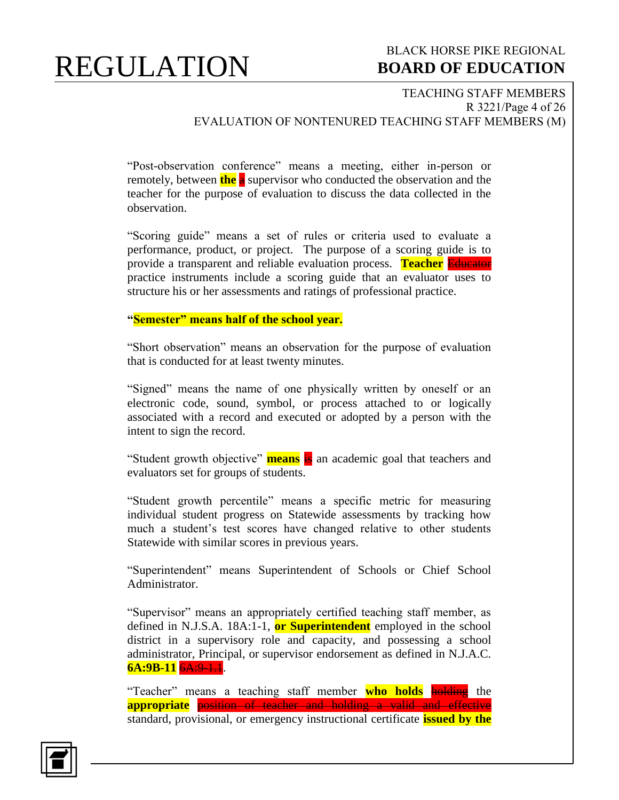### BLACK HORSE PIKE REGIONAL  **BOARD OF EDUCATION**

#### TEACHING STAFF MEMBERS R 3221/Page 4 of 26 EVALUATION OF NONTENURED TEACHING STAFF MEMBERS (M)

"Post-observation conference" means a meeting, either in-person or remotely, between **the** a supervisor who conducted the observation and the teacher for the purpose of evaluation to discuss the data collected in the observation.

"Scoring guide" means a set of rules or criteria used to evaluate a performance, product, or project. The purpose of a scoring guide is to provide a transparent and reliable evaluation process. **Teacher** Educator practice instruments include a scoring guide that an evaluator uses to structure his or her assessments and ratings of professional practice.

#### **"Semester" means half of the school year.**

"Short observation" means an observation for the purpose of evaluation that is conducted for at least twenty minutes.

"Signed" means the name of one physically written by oneself or an electronic code, sound, symbol, or process attached to or logically associated with a record and executed or adopted by a person with the intent to sign the record.

"Student growth objective" **means** is an academic goal that teachers and evaluators set for groups of students.

"Student growth percentile" means a specific metric for measuring individual student progress on Statewide assessments by tracking how much a student's test scores have changed relative to other students Statewide with similar scores in previous years.

"Superintendent" means Superintendent of Schools or Chief School Administrator.

"Supervisor" means an appropriately certified teaching staff member, as defined in N.J.S.A. 18A:1-1, **or Superintendent** employed in the school district in a supervisory role and capacity, and possessing a school administrator, Principal, or supervisor endorsement as defined in N.J.A.C. **6A:9B-11** 6A:9-1.1.

"Teacher" means a teaching staff member who holds holding the **appropriate** position of teacher and holding a valid and effective standard, provisional, or emergency instructional certificate **issued by the** 

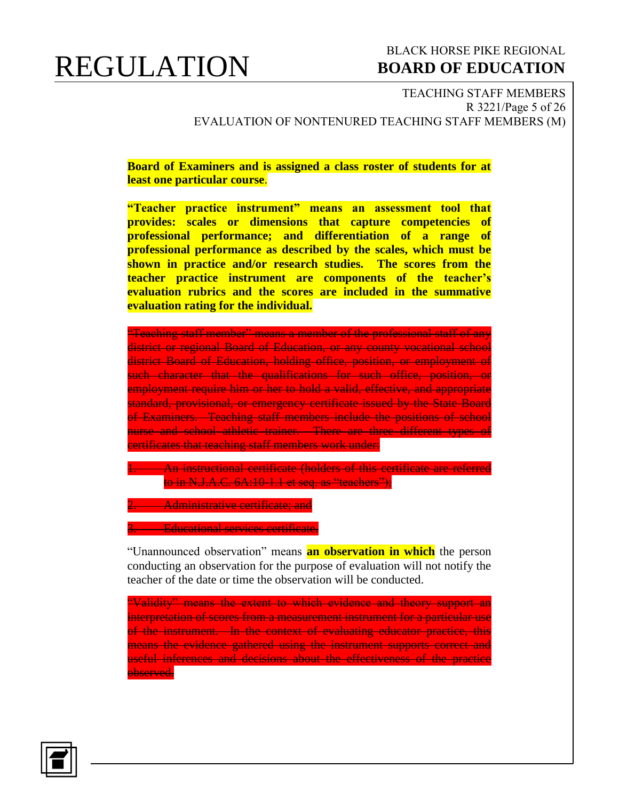### BLACK HORSE PIKE REGIONAL  **BOARD OF EDUCATION**

TEACHING STAFF MEMBERS R 3221/Page 5 of 26 EVALUATION OF NONTENURED TEACHING STAFF MEMBERS (M)

**Board of Examiners and is assigned a class roster of students for at least one particular course**.

**"Teacher practice instrument" means an assessment tool that provides: scales or dimensions that capture competencies of professional performance; and differentiation of a range of professional performance as described by the scales, which must be shown in practice and/or research studies. The scores from the teacher practice instrument are components of the teacher's evaluation rubrics and the scores are included in the summative evaluation rating for the individual.**

"Teaching staff member" means a member of the professional staff of any district or regional Board of Education, or any county vocational school district Board of Education, holding office, position, or employment of such character that the qualifications for such office, position, or employment require him or her to hold a valid, effective, and appropriate standard, provisional, or emergency certificate issued by the State Board of Examiners. Teaching staff members include the positions of school nurse and school athletic trainer. There are three different types of certificates that teaching staff members work under:

. An instructional certificate (holders of this certificate are referred to in N.J.A.C. 6A:10-1.1 et seq. as "teachers");

**2. Administrative certificate; and** 

3. Educational services certificate.

"Unannounced observation" means **an observation in which** the person conducting an observation for the purpose of evaluation will not notify the teacher of the date or time the observation will be conducted.

"Validity" means the extent to which evidence and theory support an interpretation of scores from a measurement instrument for a particular use of the instrument. In the context of evaluating educator practice, this means the evidence gathered using the instrument supports correct and useful inferences and decisions about the effectiveness of the practice observed.

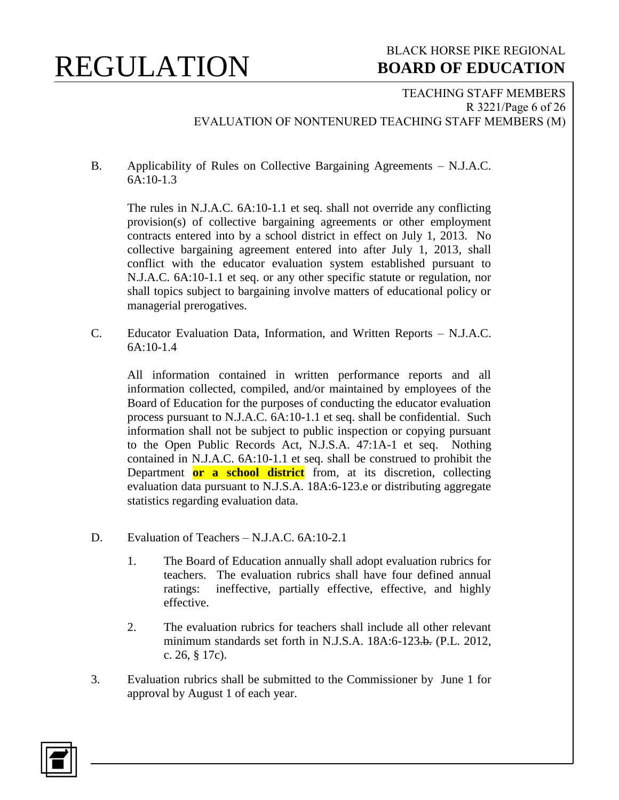### BLACK HORSE PIKE REGIONAL  **BOARD OF EDUCATION**

TEACHING STAFF MEMBERS R 3221/Page 6 of 26 EVALUATION OF NONTENURED TEACHING STAFF MEMBERS (M)

B. Applicability of Rules on Collective Bargaining Agreements – N.J.A.C. 6A:10-1.3

The rules in N.J.A.C. 6A:10-1.1 et seq. shall not override any conflicting provision(s) of collective bargaining agreements or other employment contracts entered into by a school district in effect on July 1, 2013. No collective bargaining agreement entered into after July 1, 2013, shall conflict with the educator evaluation system established pursuant to N.J.A.C. 6A:10-1.1 et seq. or any other specific statute or regulation, nor shall topics subject to bargaining involve matters of educational policy or managerial prerogatives.

C. Educator Evaluation Data, Information, and Written Reports – N.J.A.C. 6A:10-1.4

All information contained in written performance reports and all information collected, compiled, and/or maintained by employees of the Board of Education for the purposes of conducting the educator evaluation process pursuant to N.J.A.C. 6A:10-1.1 et seq. shall be confidential. Such information shall not be subject to public inspection or copying pursuant to the Open Public Records Act, N.J.S.A. 47:1A-1 et seq. Nothing contained in N.J.A.C. 6A:10-1.1 et seq. shall be construed to prohibit the Department **or a school district** from, at its discretion, collecting evaluation data pursuant to N.J.S.A. 18A:6-123.e or distributing aggregate statistics regarding evaluation data.

- D. Evaluation of Teachers N.J.A.C. 6A:10-2.1
	- 1. The Board of Education annually shall adopt evaluation rubrics for teachers. The evaluation rubrics shall have four defined annual ratings: ineffective, partially effective, effective, and highly effective.
	- 2. The evaluation rubrics for teachers shall include all other relevant minimum standards set forth in N.J.S.A. 18A:6-123.b. (P.L. 2012, c. 26, § 17c).
- 3. Evaluation rubrics shall be submitted to the Commissioner by June 1 for approval by August 1 of each year.

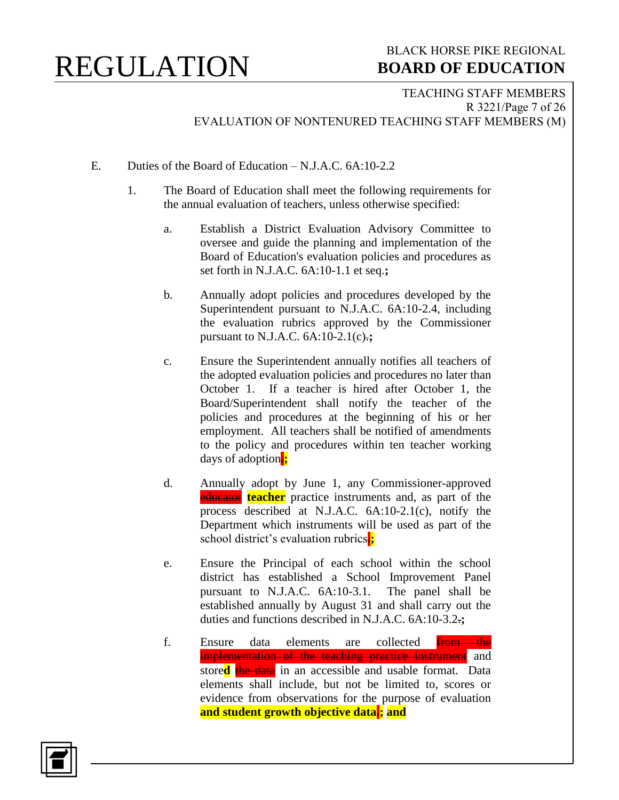#### TEACHING STAFF MEMBERS R 3221/Page 7 of 26 EVALUATION OF NONTENURED TEACHING STAFF MEMBERS (M)

- E. Duties of the Board of Education N.J.A.C. 6A:10-2.2
	- 1. The Board of Education shall meet the following requirements for the annual evaluation of teachers, unless otherwise specified:
		- a. Establish a District Evaluation Advisory Committee to oversee and guide the planning and implementation of the Board of Education's evaluation policies and procedures as set forth in N.J.A.C. 6A:10-1.1 et seq.**;**
		- b. Annually adopt policies and procedures developed by the Superintendent pursuant to N.J.A.C. 6A:10-2.4, including the evaluation rubrics approved by the Commissioner pursuant to N.J.A.C. 6A:10-2.1(c).**;**
		- c. Ensure the Superintendent annually notifies all teachers of the adopted evaluation policies and procedures no later than October 1. If a teacher is hired after October 1, the Board/Superintendent shall notify the teacher of the policies and procedures at the beginning of his or her employment. All teachers shall be notified of amendments to the policy and procedures within ten teacher working days of adoption.**;**
		- d. Annually adopt by June 1, any Commissioner-approved **educator teacher** practice instruments and, as part of the process described at N.J.A.C. 6A:10-2.1(c), notify the Department which instruments will be used as part of the school district's evaluation rubrics.
		- e. Ensure the Principal of each school within the school district has established a School Improvement Panel pursuant to N.J.A.C. 6A:10-3.1. The panel shall be established annually by August 31 and shall carry out the duties and functions described in N.J.A.C. 6A:10-3.2.**;**
		- f. Ensure data elements are collected from the implementation of the teaching practice instrument and store**d** the data in an accessible and usable format. Data elements shall include, but not be limited to, scores or evidence from observations for the purpose of evaluation **and student growth objective data**.**; and**

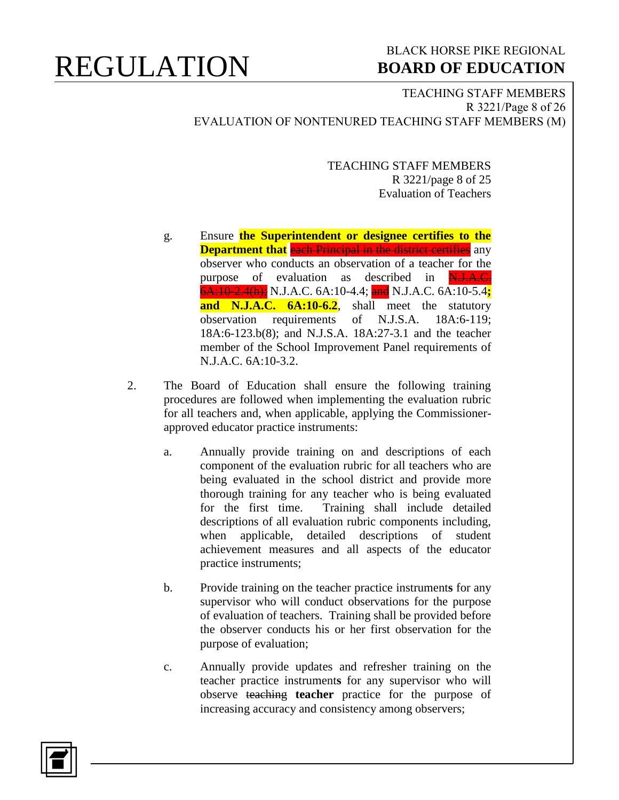### BLACK HORSE PIKE REGIONAL  **BOARD OF EDUCATION**

TEACHING STAFF MEMBERS R 3221/Page 8 of 26 EVALUATION OF NONTENURED TEACHING STAFF MEMBERS (M)

> TEACHING STAFF MEMBERS R 3221/page 8 of 25 Evaluation of Teachers

- g. Ensure **the Superintendent or designee certifies to the Department that** each Principal in the district certifies any observer who conducts an observation of a teacher for the purpose of evaluation as described in N.J.A.C. 6A:10-2.4(h); N.J.A.C. 6A:10-4.4; and N.J.A.C. 6A:10-5.4**; and N.J.A.C. 6A:10-6.2**, shall meet the statutory observation requirements of N.J.S.A. 18A:6-119; 18A:6-123.b(8); and N.J.S.A. 18A:27-3.1 and the teacher member of the School Improvement Panel requirements of N.J.A.C. 6A:10-3.2.
- 2. The Board of Education shall ensure the following training procedures are followed when implementing the evaluation rubric for all teachers and, when applicable, applying the Commissionerapproved educator practice instruments:
	- a. Annually provide training on and descriptions of each component of the evaluation rubric for all teachers who are being evaluated in the school district and provide more thorough training for any teacher who is being evaluated for the first time. Training shall include detailed descriptions of all evaluation rubric components including, when applicable, detailed descriptions of student achievement measures and all aspects of the educator practice instruments;
	- b. Provide training on the teacher practice instrument**s** for any supervisor who will conduct observations for the purpose of evaluation of teachers. Training shall be provided before the observer conducts his or her first observation for the purpose of evaluation;
	- c. Annually provide updates and refresher training on the teacher practice instrument**s** for any supervisor who will observe teaching **teacher** practice for the purpose of increasing accuracy and consistency among observers;

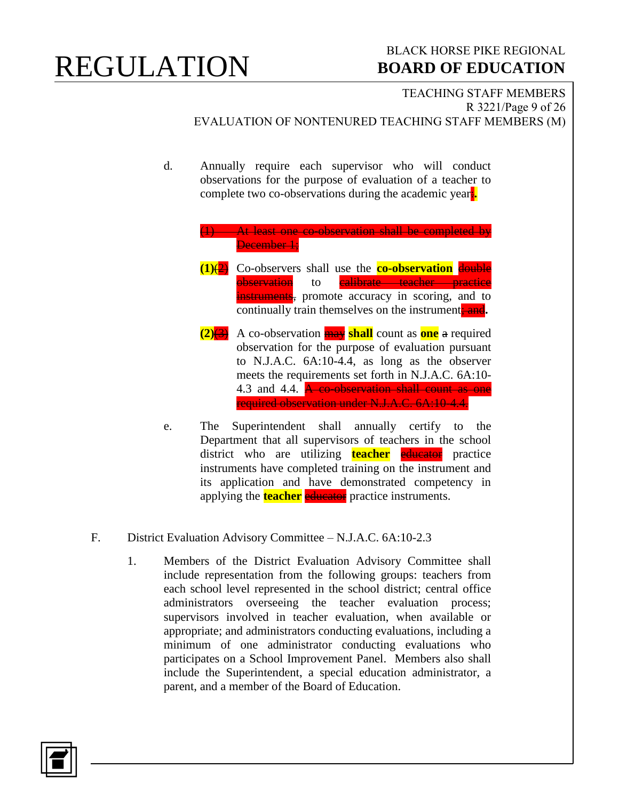### BLACK HORSE PIKE REGIONAL  **BOARD OF EDUCATION**

TEACHING STAFF MEMBERS R 3221/Page 9 of 26 EVALUATION OF NONTENURED TEACHING STAFF MEMBERS (M) d. Annually require each supervisor who will conduct observations for the purpose of evaluation of a teacher to complete two co-observations during the academic year:**.** (1) At least one co-observation shall be completed by December 1;

- **(1)**(2) Co-observers shall use the **co-observation** double observation to <mark>calibrate teacher practice</mark> instruments, promote accuracy in scoring, and to continually train themselves on the instrument, and.
- **(2)**(3) A co-observation may **shall** count as **one** a required observation for the purpose of evaluation pursuant to N.J.A.C. 6A:10-4.4, as long as the observer meets the requirements set forth in N.J.A.C. 6A:10- 4.3 and 4.4. **A co-observation shall count as one** required observation under N.J.A.C. 6A:10-4.4.
- e. The Superintendent shall annually certify to the Department that all supervisors of teachers in the school district who are utilizing **teacher** educator practice instruments have completed training on the instrument and its application and have demonstrated competency in applying the **teacher** educator practice instruments.
- F. District Evaluation Advisory Committee N.J.A.C. 6A:10-2.3
	- 1. Members of the District Evaluation Advisory Committee shall include representation from the following groups: teachers from each school level represented in the school district; central office administrators overseeing the teacher evaluation process; supervisors involved in teacher evaluation, when available or appropriate; and administrators conducting evaluations, including a minimum of one administrator conducting evaluations who participates on a School Improvement Panel. Members also shall include the Superintendent, a special education administrator, a parent, and a member of the Board of Education.

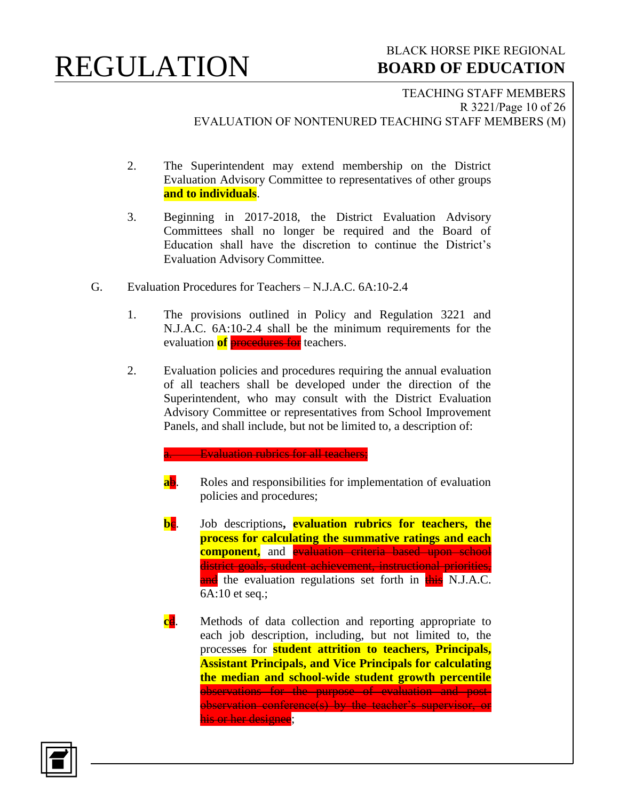### BLACK HORSE PIKE REGIONAL  **BOARD OF EDUCATION**

TEACHING STAFF MEMBERS R 3221/Page 10 of 26 EVALUATION OF NONTENURED TEACHING STAFF MEMBERS (M)

- 2. The Superintendent may extend membership on the District Evaluation Advisory Committee to representatives of other groups **and to individuals**.
- 3. Beginning in 2017-2018, the District Evaluation Advisory Committees shall no longer be required and the Board of Education shall have the discretion to continue the District's Evaluation Advisory Committee.
- G. Evaluation Procedures for Teachers N.J.A.C. 6A:10-2.4
	- 1. The provisions outlined in Policy and Regulation 3221 and N.J.A.C. 6A:10-2.4 shall be the minimum requirements for the evaluation **of procedures for** teachers.
	- 2. Evaluation policies and procedures requiring the annual evaluation of all teachers shall be developed under the direction of the Superintendent, who may consult with the District Evaluation Advisory Committee or representatives from School Improvement Panels, and shall include, but not be limited to, a description of:

#### **Evaluation rubrics for all teachers;**

- **ab.** Roles and responsibilities for implementation of evaluation policies and procedures;
- **be.** Job descriptions, **evaluation rubrics for teachers, the process for calculating the summative ratings and each component**, and evaluation criteria based upon school district goals, student achievement, instructional priorities, and the evaluation regulations set forth in this N.J.A.C. 6A:10 et seq.;
- **c**d. Methods of data collection and reporting appropriate to each job description, including, but not limited to, the processes for **student attrition to teachers, Principals, Assistant Principals, and Vice Principals for calculating the median and school-wide student growth percentile** observations for the purpose of evaluation and postobservation conference(s) by the teacher's supervisor, or his or her designee;

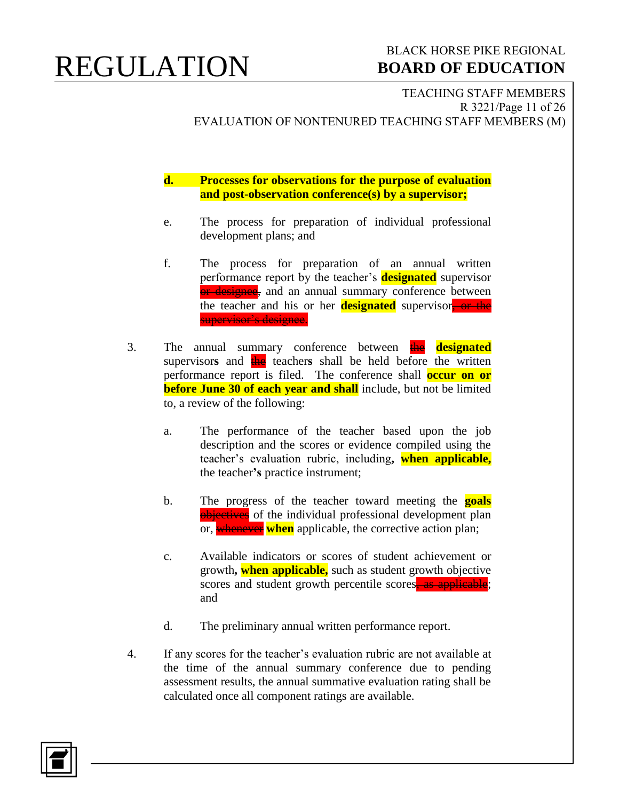### BLACK HORSE PIKE REGIONAL  **BOARD OF EDUCATION**

TEACHING STAFF MEMBERS R 3221/Page 11 of 26 EVALUATION OF NONTENURED TEACHING STAFF MEMBERS (M)

**d. Processes for observations for the purpose of evaluation and post-observation conference(s) by a supervisor;**

- e. The process for preparation of individual professional development plans; and
- f. The process for preparation of an annual written performance report by the teacher's **designated** supervisor or designee, and an annual summary conference between the teacher and his or her **designated** supervisor, or the supervisor's designee.
- 3. The annual summary conference between **the designated** supervisors and the teachers shall be held before the written performance report is filed. The conference shall **occur on or before June 30 of each year and shall** include, but not be limited to, a review of the following:
	- a. The performance of the teacher based upon the job description and the scores or evidence compiled using the teacher's evaluation rubric, including**, when applicable,** the teacher**'s** practice instrument;
	- b. The progress of the teacher toward meeting the **goals** objectives of the individual professional development plan or, whenever **when** applicable, the corrective action plan;
	- c. Available indicators or scores of student achievement or growth**, when applicable,** such as student growth objective scores and student growth percentile scores, as applicable; and
	- d. The preliminary annual written performance report.
- 4. If any scores for the teacher's evaluation rubric are not available at the time of the annual summary conference due to pending assessment results, the annual summative evaluation rating shall be calculated once all component ratings are available.

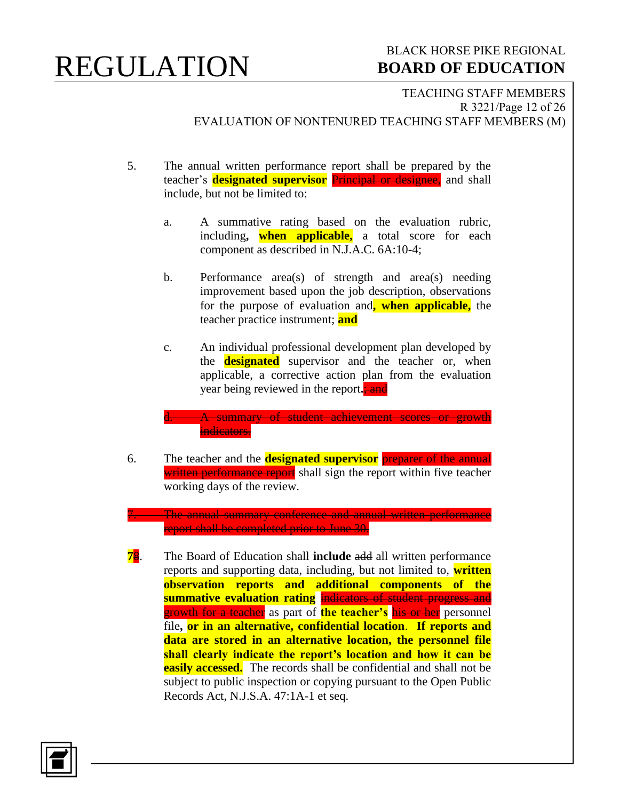### BLACK HORSE PIKE REGIONAL  **BOARD OF EDUCATION**

TEACHING STAFF MEMBERS R 3221/Page 12 of 26 EVALUATION OF NONTENURED TEACHING STAFF MEMBERS (M)

- 5. The annual written performance report shall be prepared by the teacher's **designated supervisor** Principal or designee, and shall include, but not be limited to:
	- a. A summative rating based on the evaluation rubric, including**, when applicable,** a total score for each component as described in N.J.A.C. 6A:10-4;
	- b. Performance area(s) of strength and area(s) needing improvement based upon the job description, observations for the purpose of evaluation and**, when applicable,** the teacher practice instrument; **and**
	- c. An individual professional development plan developed by the **designated** supervisor and the teacher or, when applicable, a corrective action plan from the evaluation year being reviewed in the report**.**; and
	- d. A summary of student achievement scores or growth indicators.
- 6. The teacher and the **designated supervisor** preparer of the annual written performance report shall sign the report within five teacher working days of the review.

**The annual summary conference and annual written performance** report shall be completed prior to June 30.

**7**8. The Board of Education shall **include** add all written performance reports and supporting data, including, but not limited to, **written observation reports and additional components of the summative evaluation rating** indicators of student progress and growth for a teacher as part of **the teacher's** his or her personnel file**, or in an alternative, confidential location**. **If reports and data are stored in an alternative location, the personnel file shall clearly indicate the report's location and how it can be easily accessed.** The records shall be confidential and shall not be subject to public inspection or copying pursuant to the Open Public Records Act, N.J.S.A. 47:1A-1 et seq.

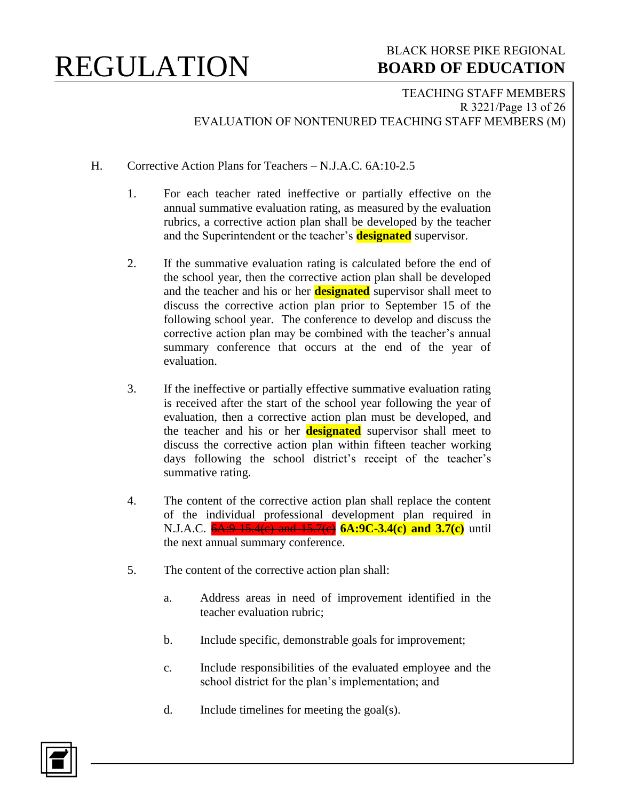### BLACK HORSE PIKE REGIONAL  **BOARD OF EDUCATION**

TEACHING STAFF MEMBERS R 3221/Page 13 of 26 EVALUATION OF NONTENURED TEACHING STAFF MEMBERS (M)

- H. Corrective Action Plans for Teachers N.J.A.C. 6A:10-2.5
	- 1. For each teacher rated ineffective or partially effective on the annual summative evaluation rating, as measured by the evaluation rubrics, a corrective action plan shall be developed by the teacher and the Superintendent or the teacher's **designated** supervisor.
	- 2. If the summative evaluation rating is calculated before the end of the school year, then the corrective action plan shall be developed and the teacher and his or her **designated** supervisor shall meet to discuss the corrective action plan prior to September 15 of the following school year. The conference to develop and discuss the corrective action plan may be combined with the teacher's annual summary conference that occurs at the end of the year of evaluation.
	- 3. If the ineffective or partially effective summative evaluation rating is received after the start of the school year following the year of evaluation, then a corrective action plan must be developed, and the teacher and his or her **designated** supervisor shall meet to discuss the corrective action plan within fifteen teacher working days following the school district's receipt of the teacher's summative rating.
	- 4. The content of the corrective action plan shall replace the content of the individual professional development plan required in N.J.A.C.  $6A:9-15.4(c)$  and  $15.7(c)$  **6A:9C-3.4(c)** and **3.7(c)** until the next annual summary conference.
	- 5. The content of the corrective action plan shall:
		- a. Address areas in need of improvement identified in the teacher evaluation rubric;
		- b. Include specific, demonstrable goals for improvement;
		- c. Include responsibilities of the evaluated employee and the school district for the plan's implementation; and
		- d. Include timelines for meeting the goal(s).

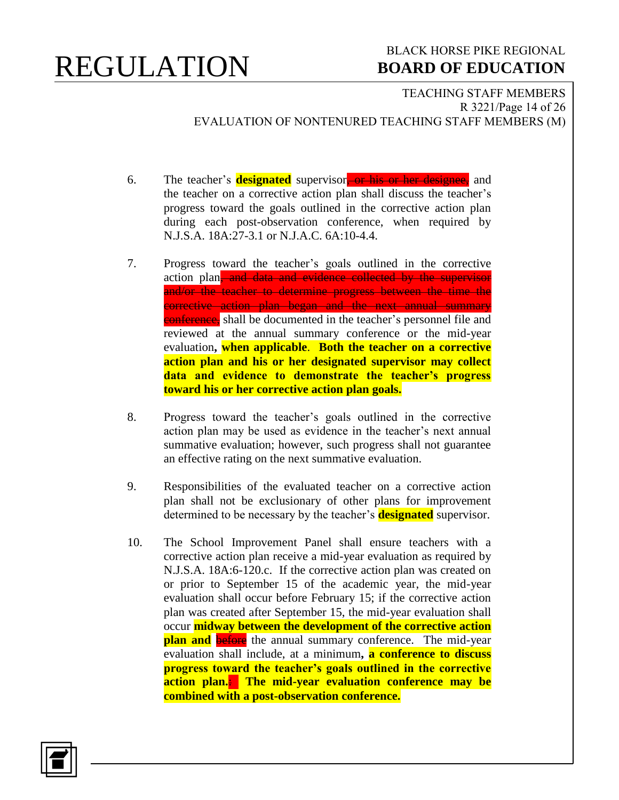### BLACK HORSE PIKE REGIONAL  **BOARD OF EDUCATION**

TEACHING STAFF MEMBERS R 3221/Page 14 of 26 EVALUATION OF NONTENURED TEACHING STAFF MEMBERS (M)

- 6. The teacher's **designated** supervisor<sub>t</sub> or his or her designee, and the teacher on a corrective action plan shall discuss the teacher's progress toward the goals outlined in the corrective action plan during each post-observation conference, when required by N.J.S.A. 18A:27-3.1 or N.J.A.C. 6A:10-4.4.
- 7. Progress toward the teacher's goals outlined in the corrective action plan, and data and evidence collected by the supervisor and/or the teacher to determine progress between the time the corrective action plan began and the next annual summary conference, shall be documented in the teacher's personnel file and reviewed at the annual summary conference or the mid-year evaluation**, when applicable**. **Both the teacher on a corrective action plan and his or her designated supervisor may collect data and evidence to demonstrate the teacher's progress toward his or her corrective action plan goals.**
- 8. Progress toward the teacher's goals outlined in the corrective action plan may be used as evidence in the teacher's next annual summative evaluation; however, such progress shall not guarantee an effective rating on the next summative evaluation.
- 9. Responsibilities of the evaluated teacher on a corrective action plan shall not be exclusionary of other plans for improvement determined to be necessary by the teacher's **designated** supervisor.
- 10. The School Improvement Panel shall ensure teachers with a corrective action plan receive a mid-year evaluation as required by N.J.S.A. 18A:6-120.c. If the corrective action plan was created on or prior to September 15 of the academic year, the mid-year evaluation shall occur before February 15; if the corrective action plan was created after September 15, the mid-year evaluation shall occur **midway between the development of the corrective action plan and** before the annual summary conference. The mid-year evaluation shall include, at a minimum**, a conference to discuss progress toward the teacher's goals outlined in the corrective action plan.**: **The mid-year evaluation conference may be combined with a post-observation conference.**

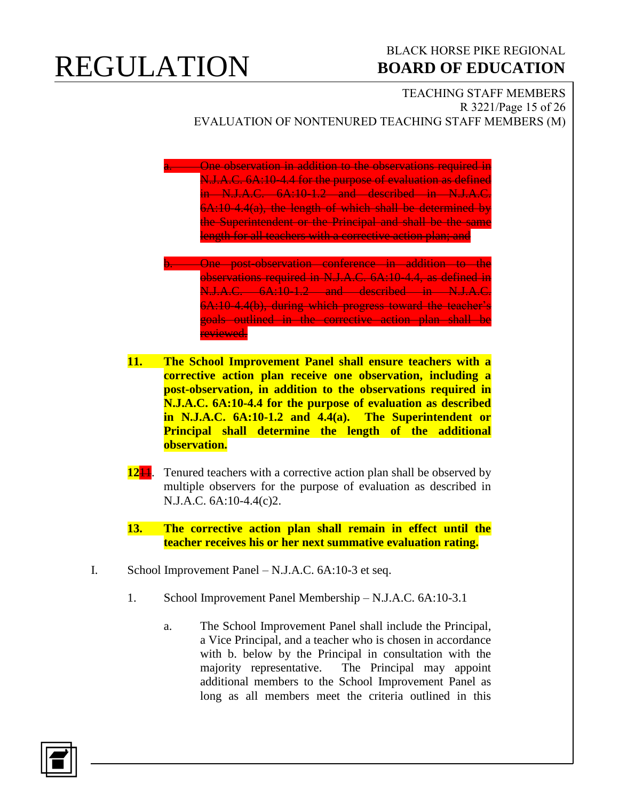### BLACK HORSE PIKE REGIONAL  **BOARD OF EDUCATION**

#### TEACHING STAFF MEMBERS R 3221/Page 15 of 26 EVALUATION OF NONTENURED TEACHING STAFF MEMBERS (M)

**A. One observation in addition to the observations required in** N.J.A.C. 6A:10-4.4 for the purpose of evaluation as defined in N.J.A.C. 6A:10-1.2 and described in N.J.A.C. 6A:10-4.4(a), the length of which shall be determined by the Superintendent or the Principal and shall be the same length for all teachers with a corrective action plan; and

- b. One post-observation conference in addition to the observations required in N.J.A.C. 6A:10-4.4, as defined in N.J.A.C. 6A:10-1.2 and described in N.J.A.C. 6A:10-4.4(b), during which progress toward the teacher's goals outlined in the corrective action plan shall be reviewed.
- **11. The School Improvement Panel shall ensure teachers with a corrective action plan receive one observation, including a post-observation, in addition to the observations required in N.J.A.C. 6A:10-4.4 for the purpose of evaluation as described in N.J.A.C. 6A:10-1.2 and 4.4(a). The Superintendent or Principal shall determine the length of the additional observation.**
- **12<sup>11</sup>.** Tenured teachers with a corrective action plan shall be observed by multiple observers for the purpose of evaluation as described in N.J.A.C. 6A:10-4.4(c)2.
- **13. The corrective action plan shall remain in effect until the teacher receives his or her next summative evaluation rating.**
- I. School Improvement Panel N.J.A.C. 6A:10-3 et seq.
	- 1. School Improvement Panel Membership N.J.A.C. 6A:10-3.1
		- a. The School Improvement Panel shall include the Principal, a Vice Principal, and a teacher who is chosen in accordance with b. below by the Principal in consultation with the majority representative. The Principal may appoint additional members to the School Improvement Panel as long as all members meet the criteria outlined in this

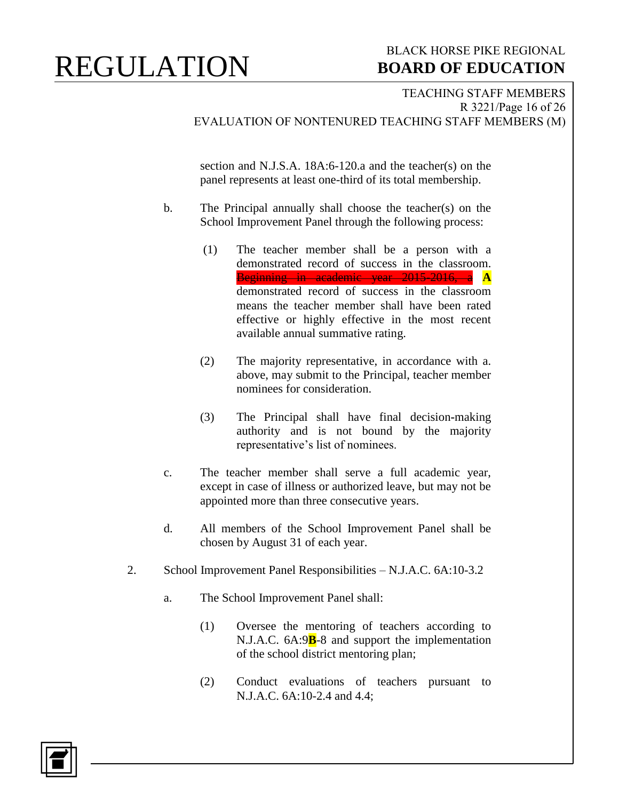### BLACK HORSE PIKE REGIONAL  **BOARD OF EDUCATION**

TEACHING STAFF MEMBERS R 3221/Page 16 of 26 EVALUATION OF NONTENURED TEACHING STAFF MEMBERS (M)

section and N.J.S.A. 18A:6-120.a and the teacher(s) on the panel represents at least one-third of its total membership.

- b. The Principal annually shall choose the teacher(s) on the School Improvement Panel through the following process:
	- (1) The teacher member shall be a person with a demonstrated record of success in the classroom. Beginning in academic year 2015-2016, a **A** demonstrated record of success in the classroom means the teacher member shall have been rated effective or highly effective in the most recent available annual summative rating.
	- (2) The majority representative, in accordance with a. above, may submit to the Principal, teacher member nominees for consideration.
	- (3) The Principal shall have final decision**-**making authority and is not bound by the majority representative's list of nominees.
- c. The teacher member shall serve a full academic year, except in case of illness or authorized leave, but may not be appointed more than three consecutive years.
- d. All members of the School Improvement Panel shall be chosen by August 31 of each year.
- 2. School Improvement Panel Responsibilities N.J.A.C. 6A:10-3.2
	- a. The School Improvement Panel shall:
		- (1) Oversee the mentoring of teachers according to N.J.A.C. 6A:9**B**-8 and support the implementation of the school district mentoring plan;
		- (2) Conduct evaluations of teachers pursuant to N.J.A.C. 6A:10-2.4 and 4.4;

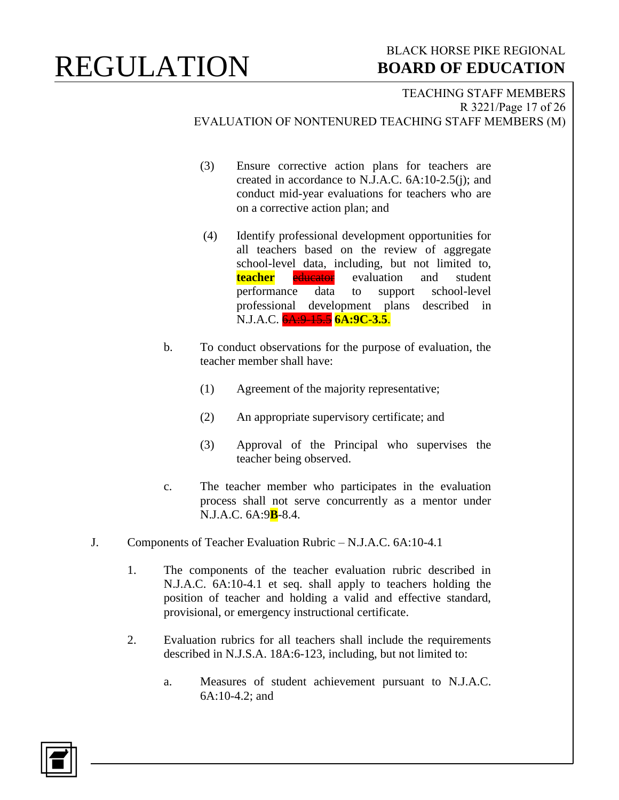### BLACK HORSE PIKE REGIONAL  **BOARD OF EDUCATION**

#### TEACHING STAFF MEMBERS R 3221/Page 17 of 26 EVALUATION OF NONTENURED TEACHING STAFF MEMBERS (M)

- (3) Ensure corrective action plans for teachers are created in accordance to N.J.A.C. 6A:10-2.5(j); and conduct mid-year evaluations for teachers who are on a corrective action plan; and
- (4) Identify professional development opportunities for all teachers based on the review of aggregate school-level data, including, but not limited to, **teacher** educator evaluation and student performance data to support school-level professional development plans described in N.J.A.C. 6A:9-15.5 **6A:9C-3.5**.
- b. To conduct observations for the purpose of evaluation, the teacher member shall have:
	- (1) Agreement of the majority representative;
	- (2) An appropriate supervisory certificate; and
	- (3) Approval of the Principal who supervises the teacher being observed.
- c. The teacher member who participates in the evaluation process shall not serve concurrently as a mentor under N.J.A.C. 6A:9**B**-8.4.
- J. Components of Teacher Evaluation Rubric N.J.A.C. 6A:10-4.1
	- 1. The components of the teacher evaluation rubric described in N.J.A.C. 6A:10-4.1 et seq. shall apply to teachers holding the position of teacher and holding a valid and effective standard, provisional, or emergency instructional certificate.
	- 2. Evaluation rubrics for all teachers shall include the requirements described in N.J.S.A. 18A:6-123, including, but not limited to:
		- a. Measures of student achievement pursuant to N.J.A.C. 6A:10-4.2; and

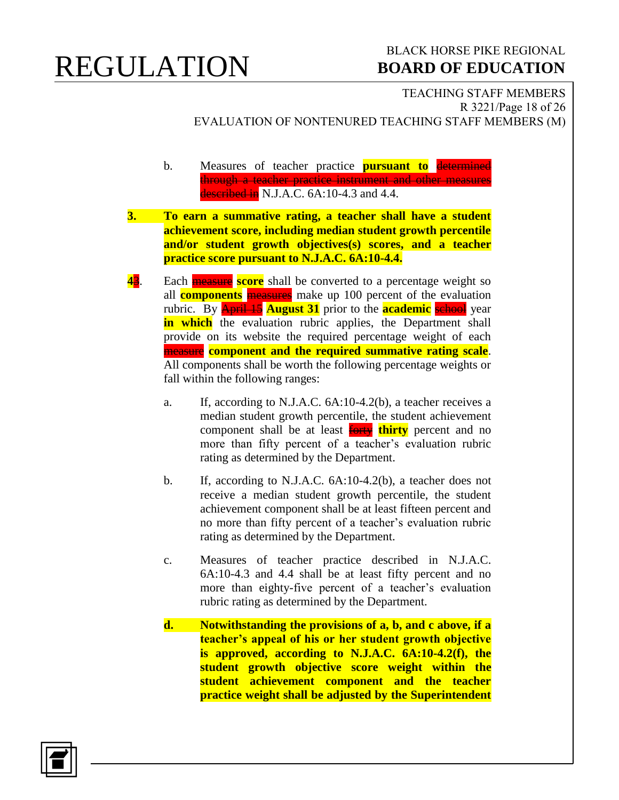### BLACK HORSE PIKE REGIONAL  **BOARD OF EDUCATION**

TEACHING STAFF MEMBERS R 3221/Page 18 of 26 EVALUATION OF NONTENURED TEACHING STAFF MEMBERS (M)

- b. Measures of teacher practice **pursuant to** determined through a teacher practice instrument and other measures described in N.J.A.C. 6A:10-4.3 and 4.4.
- **3. To earn a summative rating, a teacher shall have a student achievement score, including median student growth percentile and/or student growth objectives(s) scores, and a teacher practice score pursuant to N.J.A.C. 6A:10-4.4.**
- **43**. Each **measure score** shall be converted to a percentage weight so all **components** measures make up 100 percent of the evaluation rubric. By April 15 **August 31** prior to the **academic** school year **in which** the evaluation rubric applies, the Department shall provide on its website the required percentage weight of each measure **component and the required summative rating scale**. All components shall be worth the following percentage weights or fall within the following ranges:
	- a. If, according to N.J.A.C. 6A:10-4.2(b), a teacher receives a median student growth percentile, the student achievement component shall be at least forty **thirty** percent and no more than fifty percent of a teacher's evaluation rubric rating as determined by the Department.
	- b. If, according to N.J.A.C. 6A:10-4.2(b), a teacher does not receive a median student growth percentile, the student achievement component shall be at least fifteen percent and no more than fifty percent of a teacher's evaluation rubric rating as determined by the Department.
	- c. Measures of teacher practice described in N.J.A.C. 6A:10-4.3 and 4.4 shall be at least fifty percent and no more than eighty-five percent of a teacher's evaluation rubric rating as determined by the Department.
	- **d. Notwithstanding the provisions of a, b, and c above, if a teacher's appeal of his or her student growth objective is approved, according to N.J.A.C. 6A:10-4.2(f), the student growth objective score weight within the student achievement component and the teacher practice weight shall be adjusted by the Superintendent**

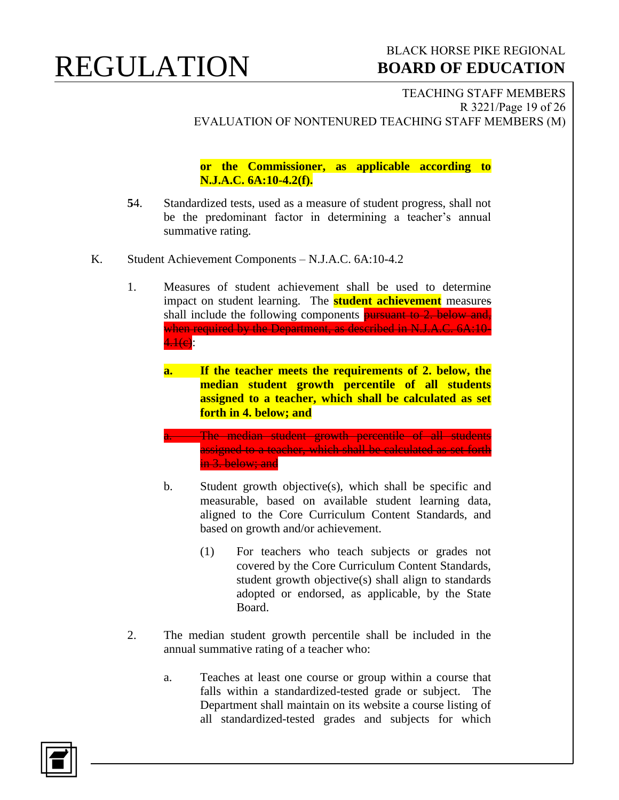### BLACK HORSE PIKE REGIONAL  **BOARD OF EDUCATION**

TEACHING STAFF MEMBERS R 3221/Page 19 of 26 EVALUATION OF NONTENURED TEACHING STAFF MEMBERS (M)

**or the Commissioner, as applicable according to N.J.A.C. 6A:10-4.2(f).**

- **5**4. Standardized tests, used as a measure of student progress, shall not be the predominant factor in determining a teacher's annual summative rating.
- K. Student Achievement Components N.J.A.C. 6A:10-4.2
	- 1. Measures of student achievement shall be used to determine impact on student learning. The **student achievement** measures shall include the following components **pursuant to 2. below and**, when required by the Department, as described in N.J.A.C. 6A:10- $4.1(e)$ :
		- **a. If the teacher meets the requirements of 2. below, the median student growth percentile of all students assigned to a teacher, which shall be calculated as set forth in 4. below; and**
		- a. The median student growth percentile of all students assigned to a teacher, which shall be calculated as set forth in 3. below; and
		- b. Student growth objective(s), which shall be specific and measurable, based on available student learning data, aligned to the Core Curriculum Content Standards, and based on growth and/or achievement.
			- (1) For teachers who teach subjects or grades not covered by the Core Curriculum Content Standards, student growth objective(s) shall align to standards adopted or endorsed, as applicable, by the State Board.
	- 2. The median student growth percentile shall be included in the annual summative rating of a teacher who:
		- a. Teaches at least one course or group within a course that falls within a standardized-tested grade or subject. The Department shall maintain on its website a course listing of all standardized-tested grades and subjects for which

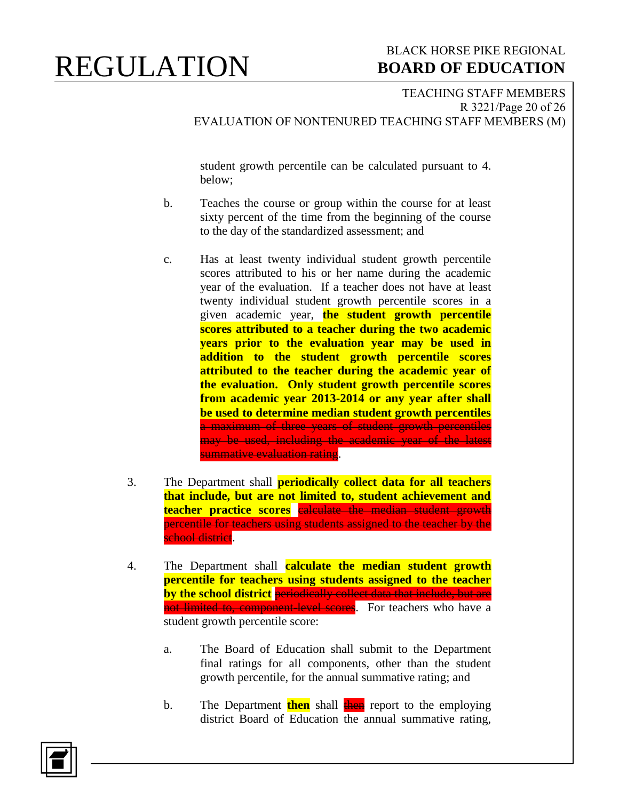### BLACK HORSE PIKE REGIONAL  **BOARD OF EDUCATION**

#### TEACHING STAFF MEMBERS R 3221/Page 20 of 26 EVALUATION OF NONTENURED TEACHING STAFF MEMBERS (M)

student growth percentile can be calculated pursuant to 4. below;

- b. Teaches the course or group within the course for at least sixty percent of the time from the beginning of the course to the day of the standardized assessment; and
- c. Has at least twenty individual student growth percentile scores attributed to his or her name during the academic year of the evaluation. If a teacher does not have at least twenty individual student growth percentile scores in a given academic year, **the student growth percentile scores attributed to a teacher during the two academic years prior to the evaluation year may be used in addition to the student growth percentile scores attributed to the teacher during the academic year of the evaluation. Only student growth percentile scores from academic year 2013-2014 or any year after shall be used to determine median student growth percentiles** a maximum of three years of student growth percentiles may be used, including the academic year of the latest summative evaluation rating.
- 3. The Department shall **periodically collect data for all teachers that include, but are not limited to, student achievement and teacher practice scores** calculate the median student growth percentile for teachers using students assigned to the teacher by the school district.
- 4. The Department shall **calculate the median student growth percentile for teachers using students assigned to the teacher by the school district** periodically collect data that include, but are not limited to, component level scores. For teachers who have a student growth percentile score:
	- a. The Board of Education shall submit to the Department final ratings for all components, other than the student growth percentile, for the annual summative rating; and
	- b. The Department **then** shall then report to the employing district Board of Education the annual summative rating,

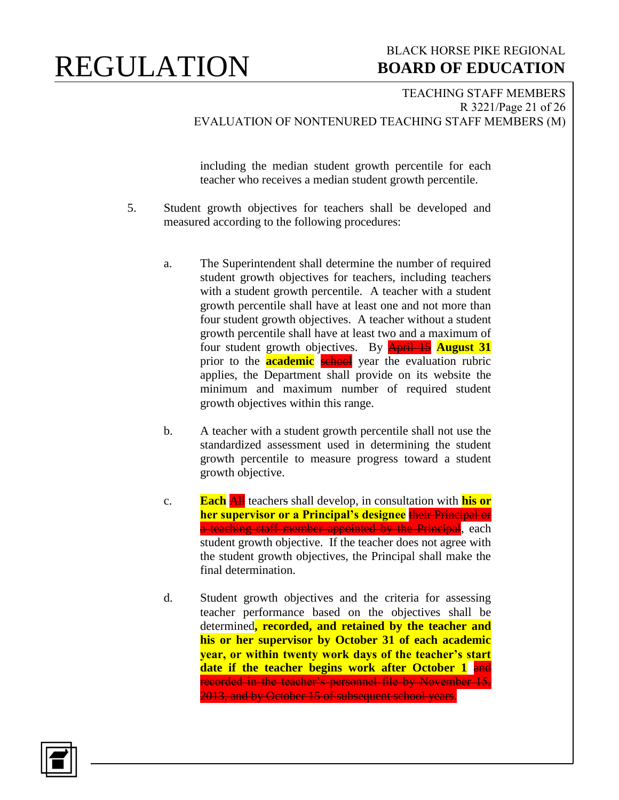### BLACK HORSE PIKE REGIONAL  **BOARD OF EDUCATION**

TEACHING STAFF MEMBERS R 3221/Page 21 of 26 EVALUATION OF NONTENURED TEACHING STAFF MEMBERS (M)

including the median student growth percentile for each teacher who receives a median student growth percentile.

- 5. Student growth objectives for teachers shall be developed and measured according to the following procedures:
	- a. The Superintendent shall determine the number of required student growth objectives for teachers, including teachers with a student growth percentile. A teacher with a student growth percentile shall have at least one and not more than four student growth objectives. A teacher without a student growth percentile shall have at least two and a maximum of four student growth objectives. By April 15 **August 31** prior to the **academic** school year the evaluation rubric applies, the Department shall provide on its website the minimum and maximum number of required student growth objectives within this range.
	- b. A teacher with a student growth percentile shall not use the standardized assessment used in determining the student growth percentile to measure progress toward a student growth objective.
	- c. **Each** All teachers shall develop, in consultation with **his or her supervisor or a Principal's designee** their Principal or a teaching staff member appointed by the Principal, each student growth objective. If the teacher does not agree with the student growth objectives, the Principal shall make the final determination.
	- d. Student growth objectives and the criteria for assessing teacher performance based on the objectives shall be determined**, recorded, and retained by the teacher and his or her supervisor by October 31 of each academic year, or within twenty work days of the teacher's start date if the teacher begins work after October 1** and recorded in the teacher's personnel file by November 15, 2013, and by October 15 of subsequent school years.

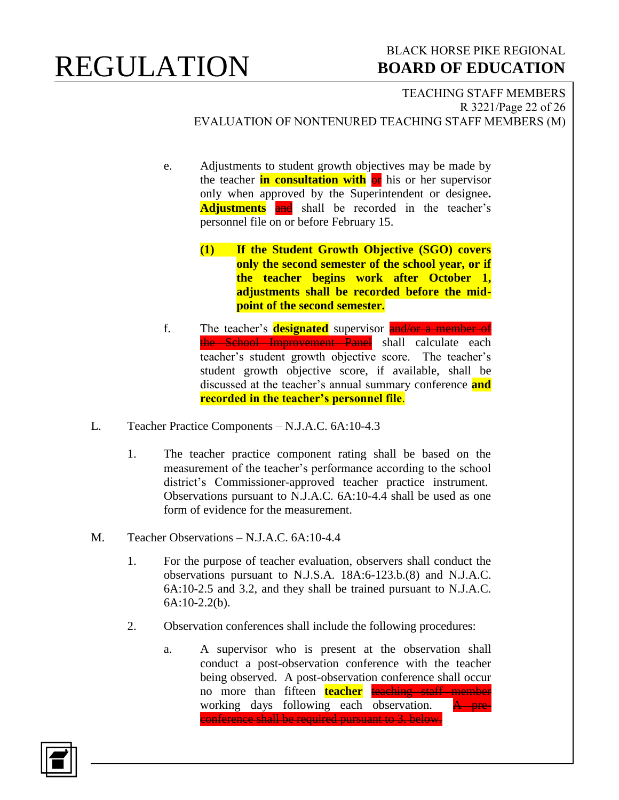### BLACK HORSE PIKE REGIONAL  **BOARD OF EDUCATION**

TEACHING STAFF MEMBERS R 3221/Page 22 of 26 EVALUATION OF NONTENURED TEACHING STAFF MEMBERS (M)

- e. Adjustments to student growth objectives may be made by the teacher **in consultation with**  $\theta$ **x** his or her supervisor only when approved by the Superintendent or designee**. Adjustments** and shall be recorded in the teacher's personnel file on or before February 15.
	- **(1) If the Student Growth Objective (SGO) covers only the second semester of the school year, or if the teacher begins work after October 1, adjustments shall be recorded before the midpoint of the second semester.**
- f. The teacher's **designated** supervisor **and/or a member of** the School Improvement Panel shall calculate each teacher's student growth objective score. The teacher's student growth objective score, if available, shall be discussed at the teacher's annual summary conference **and recorded in the teacher's personnel file**.
- L. Teacher Practice Components N.J.A.C. 6A:10-4.3
	- 1. The teacher practice component rating shall be based on the measurement of the teacher's performance according to the school district's Commissioner-approved teacher practice instrument. Observations pursuant to N.J.A.C. 6A:10-4.4 shall be used as one form of evidence for the measurement.
- M. Teacher Observations N.J.A.C. 6A:10-4.4
	- 1. For the purpose of teacher evaluation, observers shall conduct the observations pursuant to N.J.S.A. 18A:6-123.b.(8) and N.J.A.C. 6A:10-2.5 and 3.2, and they shall be trained pursuant to N.J.A.C. 6A:10-2.2(b).
	- 2. Observation conferences shall include the following procedures:
		- a. A supervisor who is present at the observation shall conduct a post-observation conference with the teacher being observed. A post-observation conference shall occur no more than fifteen **teacher** teaching staff member working days following each observation.  $A$  preconference shall be required pursuant to 3. below.

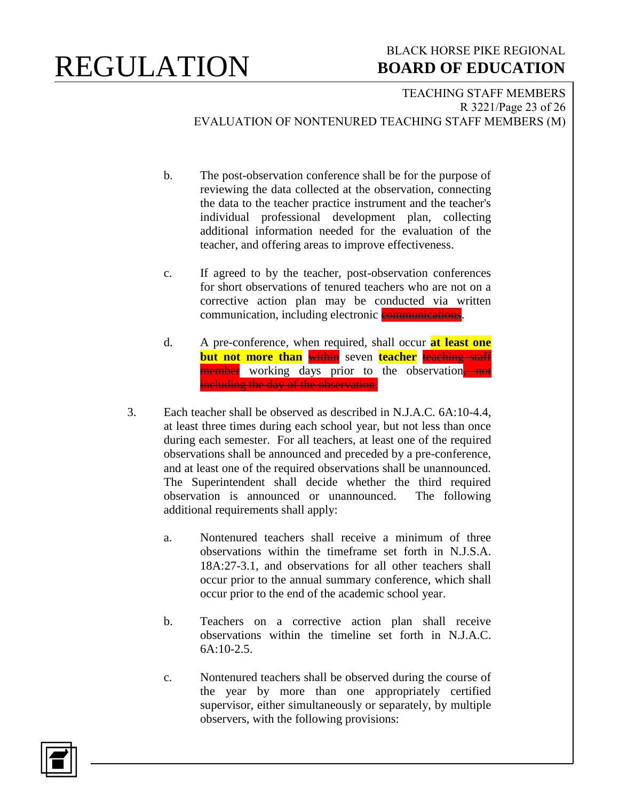### BLACK HORSE PIKE REGIONAL  **BOARD OF EDUCATION**

TEACHING STAFF MEMBERS R 3221/Page 23 of 26 EVALUATION OF NONTENURED TEACHING STAFF MEMBERS (M)

- b. The post-observation conference shall be for the purpose of reviewing the data collected at the observation, connecting the data to the teacher practice instrument and the teacher's individual professional development plan, collecting additional information needed for the evaluation of the teacher, and offering areas to improve effectiveness.
- c. If agreed to by the teacher, post-observation conferences for short observations of tenured teachers who are not on a corrective action plan may be conducted via written communication, including electronic **communications**.
- d. A pre-conference, when required, shall occur **at least one but not more than** within seven **teacher** teaching staff member working days prior to the observation, not including the day of the observation.
- 3. Each teacher shall be observed as described in N.J.A.C. 6A:10-4.4, at least three times during each school year, but not less than once during each semester. For all teachers, at least one of the required observations shall be announced and preceded by a pre-conference, and at least one of the required observations shall be unannounced. The Superintendent shall decide whether the third required observation is announced or unannounced. The following additional requirements shall apply:
	- a. Nontenured teachers shall receive a minimum of three observations within the timeframe set forth in N.J.S.A. 18A:27-3.1, and observations for all other teachers shall occur prior to the annual summary conference, which shall occur prior to the end of the academic school year.
	- b. Teachers on a corrective action plan shall receive observations within the timeline set forth in N.J.A.C.  $6A:10-2.5$
	- c. Nontenured teachers shall be observed during the course of the year by more than one appropriately certified supervisor, either simultaneously or separately, by multiple observers, with the following provisions:

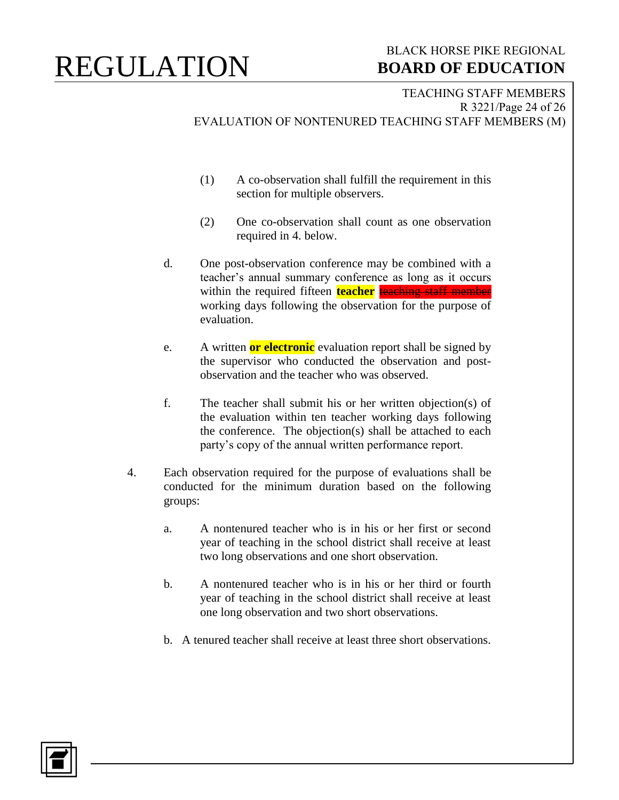### BLACK HORSE PIKE REGIONAL  **BOARD OF EDUCATION**

TEACHING STAFF MEMBERS R 3221/Page 24 of 26 EVALUATION OF NONTENURED TEACHING STAFF MEMBERS (M)

- (1) A co-observation shall fulfill the requirement in this section for multiple observers.
- (2) One co-observation shall count as one observation required in 4. below.
- d. One post-observation conference may be combined with a teacher's annual summary conference as long as it occurs within the required fifteen **teacher** teaching staff member working days following the observation for the purpose of evaluation.
- e. A written **or electronic** evaluation report shall be signed by the supervisor who conducted the observation and postobservation and the teacher who was observed.
- f. The teacher shall submit his or her written objection(s) of the evaluation within ten teacher working days following the conference. The objection(s) shall be attached to each party's copy of the annual written performance report.
- 4. Each observation required for the purpose of evaluations shall be conducted for the minimum duration based on the following groups:
	- a. A nontenured teacher who is in his or her first or second year of teaching in the school district shall receive at least two long observations and one short observation.
	- b. A nontenured teacher who is in his or her third or fourth year of teaching in the school district shall receive at least one long observation and two short observations.
	- b. A tenured teacher shall receive at least three short observations.

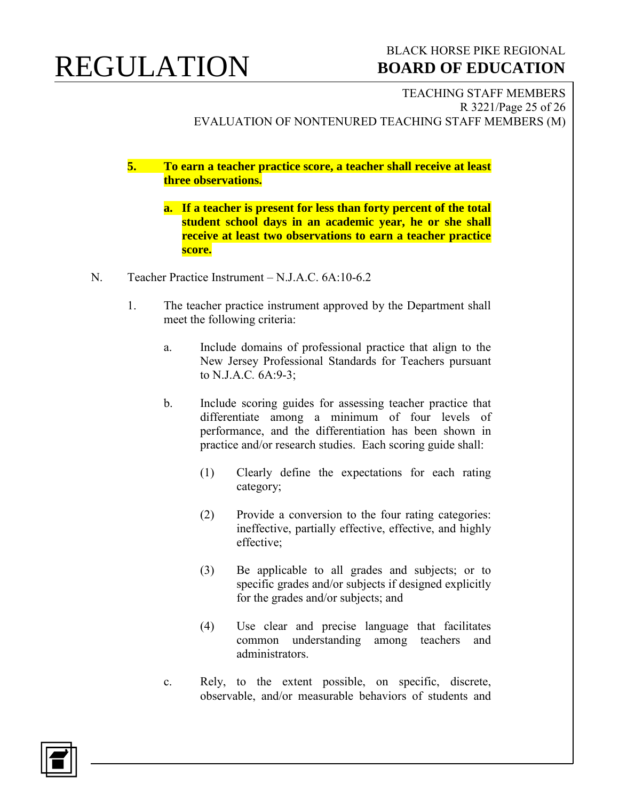### BLACK HORSE PIKE REGIONAL  **BOARD OF EDUCATION**

TEACHING STAFF MEMBERS R 3221/Page 25 of 26 EVALUATION OF NONTENURED TEACHING STAFF MEMBERS (M)

**5. To earn a teacher practice score, a teacher shall receive at least three observations.**

- **a. If a teacher is present for less than forty percent of the total student school days in an academic year, he or she shall receive at least two observations to earn a teacher practice score.**
- N. Teacher Practice Instrument N.J.A.C. 6A:10-6.2
	- 1. The teacher practice instrument approved by the Department shall meet the following criteria:
		- a. Include domains of professional practice that align to the New Jersey Professional Standards for Teachers pursuant to N.J.A.C*.* 6A:9-3;
		- b. Include scoring guides for assessing teacher practice that differentiate among a minimum of four levels of performance, and the differentiation has been shown in practice and/or research studies. Each scoring guide shall:
			- (1) Clearly define the expectations for each rating category;
			- (2) Provide a conversion to the four rating categories: ineffective, partially effective, effective, and highly effective;
			- (3) Be applicable to all grades and subjects; or to specific grades and/or subjects if designed explicitly for the grades and/or subjects; and
			- (4) Use clear and precise language that facilitates common understanding among teachers and administrators.
		- c. Rely, to the extent possible, on specific, discrete, observable, and/or measurable behaviors of students and